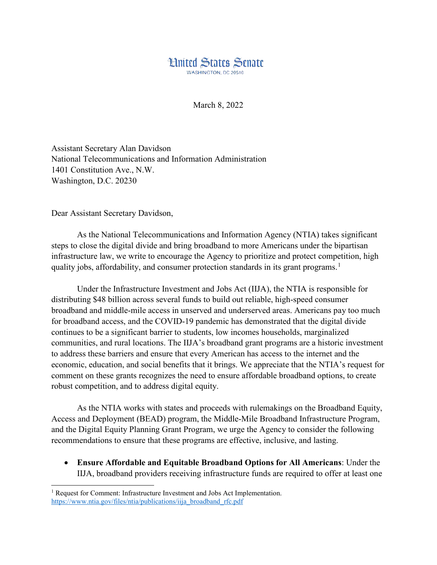

March 8, 2022

Assistant Secretary Alan Davidson National Telecommunications and Information Administration 1401 Constitution Ave., N.W. Washington, D.C. 20230

Dear Assistant Secretary Davidson,

l

As the National Telecommunications and Information Agency (NTIA) takes significant steps to close the digital divide and bring broadband to more Americans under the bipartisan infrastructure law, we write to encourage the Agency to prioritize and protect competition, high quality jobs, affordability, and consumer protection standards in its grant programs.<sup>[1](#page-0-0)</sup>

Under the Infrastructure Investment and Jobs Act (IIJA), the NTIA is responsible for distributing \$48 billion across several funds to build out reliable, high-speed consumer broadband and middle-mile access in unserved and underserved areas. Americans pay too much for broadband access, and the COVID-19 pandemic has demonstrated that the digital divide continues to be a significant barrier to students, low incomes households, marginalized communities, and rural locations. The IIJA's broadband grant programs are a historic investment to address these barriers and ensure that every American has access to the internet and the economic, education, and social benefits that it brings. We appreciate that the NTIA's request for comment on these grants recognizes the need to ensure affordable broadband options, to create robust competition, and to address digital equity.

As the NTIA works with states and proceeds with rulemakings on the Broadband Equity, Access and Deployment (BEAD) program, the Middle-Mile Broadband Infrastructure Program, and the Digital Equity Planning Grant Program, we urge the Agency to consider the following recommendations to ensure that these programs are effective, inclusive, and lasting.

• **Ensure Affordable and Equitable Broadband Options for All Americans**: Under the IIJA, broadband providers receiving infrastructure funds are required to offer at least one

<span id="page-0-0"></span><sup>&</sup>lt;sup>1</sup> Request for Comment: Infrastructure Investment and Jobs Act Implementation. [https://www.ntia.gov/files/ntia/publications/iija\\_broadband\\_rfc.pdf](https://www.ntia.gov/files/ntia/publications/iija_broadband_rfc.pdf)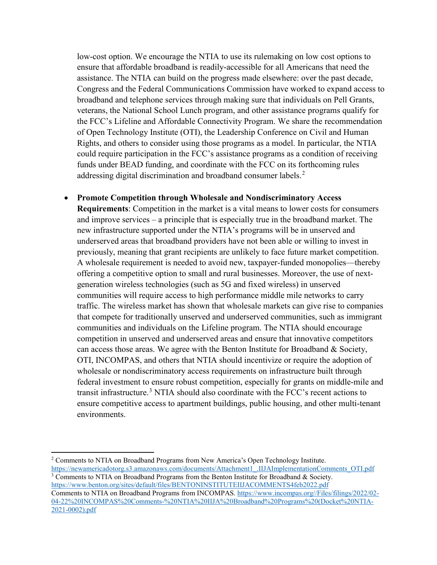low-cost option. We encourage the NTIA to use its rulemaking on low cost options to ensure that affordable broadband is readily-accessible for all Americans that need the assistance. The NTIA can build on the progress made elsewhere: over the past decade, Congress and the Federal Communications Commission have worked to expand access to broadband and telephone services through making sure that individuals on Pell Grants, veterans, the National School Lunch program, and other assistance programs qualify for the FCC's Lifeline and Affordable Connectivity Program. We share the recommendation of Open Technology Institute (OTI), the Leadership Conference on Civil and Human Rights, and others to consider using those programs as a model. In particular, the NTIA could require participation in the FCC's assistance programs as a condition of receiving funds under BEAD funding, and coordinate with the FCC on its forthcoming rules addressing digital discrimination and broadband consumer labels.<sup>[2](#page-1-0)</sup>

## • **Promote Competition through Wholesale and Nondiscriminatory Access**

**Requirements**: Competition in the market is a vital means to lower costs for consumers and improve services – a principle that is especially true in the broadband market. The new infrastructure supported under the NTIA's programs will be in unserved and underserved areas that broadband providers have not been able or willing to invest in previously, meaning that grant recipients are unlikely to face future market competition. A wholesale requirement is needed to avoid new, taxpayer-funded monopolies—thereby offering a competitive option to small and rural businesses. Moreover, the use of nextgeneration wireless technologies (such as 5G and fixed wireless) in unserved communities will require access to high performance middle mile networks to carry traffic. The wireless market has shown that wholesale markets can give rise to companies that compete for traditionally unserved and underserved communities, such as immigrant communities and individuals on the Lifeline program. The NTIA should encourage competition in unserved and underserved areas and ensure that innovative competitors can access those areas. We agree with the Benton Institute for Broadband & Society, OTI, INCOMPAS, and others that NTIA should incentivize or require the adoption of wholesale or nondiscriminatory access requirements on infrastructure built through federal investment to ensure robust competition, especially for grants on middle-mile and transit infrastructure.<sup>[3](#page-1-1)</sup> NTIA should also coordinate with the FCC's recent actions to ensure competitive access to apartment buildings, public housing, and other multi-tenant environments.

l

<span id="page-1-0"></span><sup>2</sup> Comments to NTIA on Broadband Programs from New America's Open Technology Institute. [https://newamericadotorg.s3.amazonaws.com/documents/Attachment1\\_.IIJAImplementationComments\\_OTI.pdf](https://newamericadotorg.s3.amazonaws.com/documents/Attachment1_.IIJAImplementationComments_OTI.pdf)

<span id="page-1-1"></span><sup>&</sup>lt;sup>3</sup> Comments to NTIA on Broadband Programs from the Benton Institute for Broadband & Society. <https://www.benton.org/sites/default/files/BENTONINSTITUTEIIJACOMMENTS4feb2022.pdf> Comments to NTIA on Broadband Programs from INCOMPAS. [https://www.incompas.org//Files/filings/2022/02-](https://www.incompas.org/Files/filings/2022/02-04-22%20INCOMPAS%20Comments-%20NTIA%20IIJA%20Broadband%20Programs%20(Docket%20NTIA-2021-0002).pdf) [04-22%20INCOMPAS%20Comments-%20NTIA%20IIJA%20Broadband%20Programs%20\(Docket%20NTIA-](https://www.incompas.org/Files/filings/2022/02-04-22%20INCOMPAS%20Comments-%20NTIA%20IIJA%20Broadband%20Programs%20(Docket%20NTIA-2021-0002).pdf)[2021-0002\).pdf](https://www.incompas.org/Files/filings/2022/02-04-22%20INCOMPAS%20Comments-%20NTIA%20IIJA%20Broadband%20Programs%20(Docket%20NTIA-2021-0002).pdf)